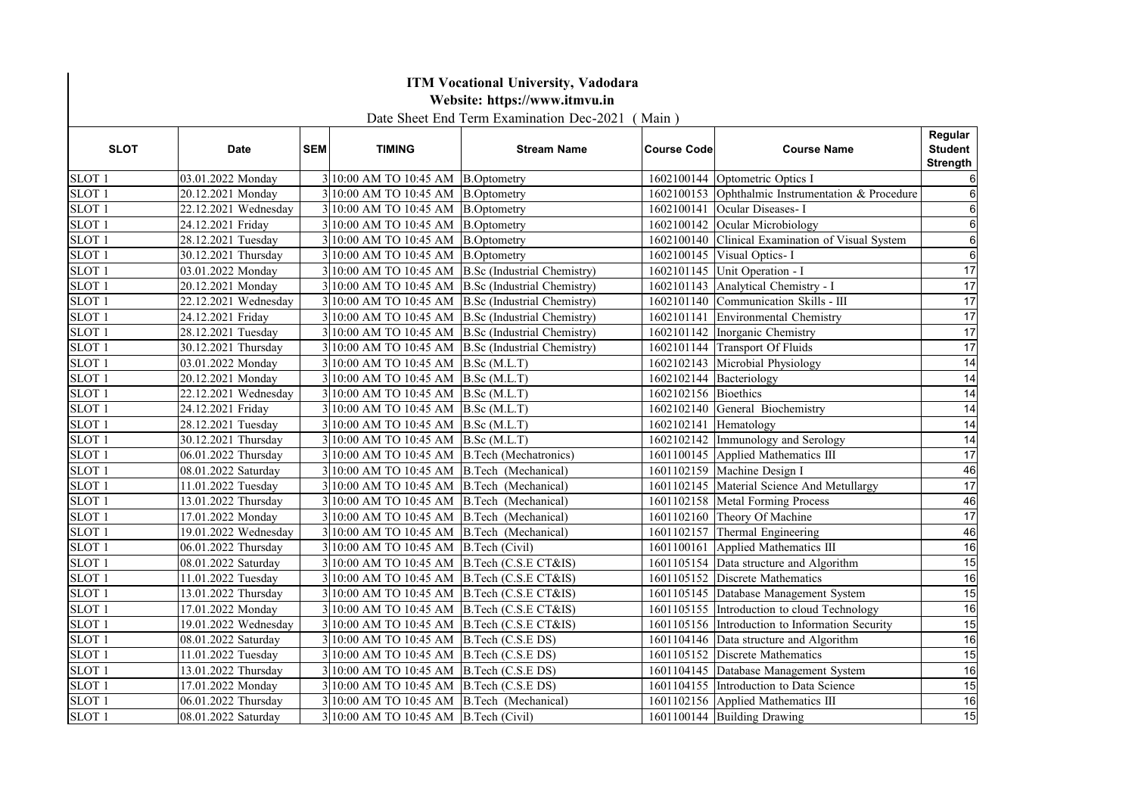|                   | <b>ITM Vocational University, Vadodara</b><br>Website: https://www.itmvu.in<br>Date Sheet End Term Examination Dec-2021 (Main) |            |                                              |                                                                               |                         |                                                   |                                              |  |
|-------------------|--------------------------------------------------------------------------------------------------------------------------------|------------|----------------------------------------------|-------------------------------------------------------------------------------|-------------------------|---------------------------------------------------|----------------------------------------------|--|
| <b>SLOT</b>       | <b>Date</b>                                                                                                                    | <b>SEM</b> | <b>TIMING</b>                                | <b>Stream Name</b>                                                            | <b>Course Code</b>      | <b>Course Name</b>                                | Regular<br><b>Student</b><br><b>Strength</b> |  |
| SLOT <sub>1</sub> | 03.01.2022 Monday                                                                                                              |            | 3 10:00 AM TO 10:45 AM B.Optometry           |                                                                               |                         | 1602100144 Optometric Optics I                    |                                              |  |
| SLOT <sub>1</sub> | 20.12.2021 Monday                                                                                                              |            | 3 10:00 AM TO 10:45 AM B.Optometry           |                                                                               |                         | 1602100153 Ophthalmic Instrumentation & Procedure |                                              |  |
| SLOT <sub>1</sub> | 22.12.2021 Wednesday                                                                                                           |            | 3 10:00 AM TO 10:45 AM B.Optometry           |                                                                               |                         | 1602100141 Ocular Diseases- I                     |                                              |  |
| SLOT <sub>1</sub> | 24.12.2021 Friday                                                                                                              |            | 3 10:00 AM TO 10:45 AM B.Optometry           |                                                                               |                         | 1602100142 Ocular Microbiology                    |                                              |  |
| SLOT <sub>1</sub> | 28.12.2021 Tuesday                                                                                                             |            | 3 10:00 AM TO 10:45 AM B.Optometry           |                                                                               |                         | 1602100140 Clinical Examination of Visual System  | 6                                            |  |
| SLOT <sub>1</sub> | 30.12.2021 Thursday                                                                                                            |            | 3 10:00 AM TO 10:45 AM B.Optometry           |                                                                               |                         | 1602100145 Visual Optics- I                       | 6                                            |  |
| SLOT <sub>1</sub> | 03.01.2022 Monday                                                                                                              |            |                                              | 3 10:00 AM TO 10:45 AM B.Sc (Industrial Chemistry)                            |                         | 1602101145 Unit Operation - I                     | 17                                           |  |
| SLOT <sub>1</sub> | 20.12.2021 Monday                                                                                                              |            |                                              | 3 10:00 AM TO 10:45 AM B.Sc (Industrial Chemistry)                            |                         | 1602101143 Analytical Chemistry - I               | 17                                           |  |
| SLOT <sub>1</sub> | 22.12.2021 Wednesday                                                                                                           |            |                                              | $3 10:00$ AM TO 10:45 AM $ B.Sc$ (Industrial Chemistry)                       |                         | 1602101140 Communication Skills - III             | 17                                           |  |
| SLOT <sub>1</sub> | 24.12.2021 Friday                                                                                                              |            |                                              | 3 10:00 AM TO 10:45 AM B.Sc (Industrial Chemistry)                            |                         | 1602101141 Environmental Chemistry                | 17                                           |  |
| SLOT <sub>1</sub> | 28.12.2021 Tuesday                                                                                                             |            |                                              | 3 10:00 AM TO 10:45 AM B.Sc (Industrial Chemistry)                            |                         | 1602101142 Inorganic Chemistry                    | 17                                           |  |
| SLOT <sub>1</sub> | 30.12.2021 Thursday                                                                                                            |            |                                              | $3 10:00 \text{ AM} \text{ TO } 10:45 \text{ AM}$ B.Sc (Industrial Chemistry) |                         | 1602101144 Transport Of Fluids                    | 17                                           |  |
| SLOT <sub>1</sub> | 03.01.2022 Monday                                                                                                              |            | 3 10:00 AM TO 10:45 AM B.Sc (M.L.T)          |                                                                               |                         | 1602102143 Microbial Physiology                   | 14                                           |  |
| SLOT <sub>1</sub> | 20.12.2021 Monday                                                                                                              |            | 3 10:00 AM TO 10:45 AM B.Sc (M.L.T)          |                                                                               | 1602102144 Bacteriology |                                                   | 14                                           |  |
| SLOT <sub>1</sub> | 22.12.2021 Wednesday                                                                                                           |            | 3 10:00 AM TO 10:45 AM B.Sc (M.L.T)          |                                                                               | 1602102156 Bioethics    |                                                   | $\overline{14}$                              |  |
| SLOT <sub>1</sub> | 24.12.2021 Friday                                                                                                              |            | 3 10:00 AM TO 10:45 AM B.Sc (M.L.T)          |                                                                               |                         | 1602102140 General Biochemistry                   | 14                                           |  |
| SLOT <sub>1</sub> | 28.12.2021 Tuesday                                                                                                             |            | 3 10:00 AM TO 10:45 AM B.Sc (M.L.T)          |                                                                               | 1602102141 Hematology   |                                                   | 14                                           |  |
| SLOT <sub>1</sub> | 30.12.2021 Thursday                                                                                                            |            | 3 10:00 AM TO 10:45 AM B.Sc (M.L.T)          |                                                                               |                         | 1602102142 Immunology and Serology                | $\overline{14}$                              |  |
| SLOT <sub>1</sub> | 06.01.2022 Thursday                                                                                                            |            | 3 10:00 AM TO 10:45 AM B.Tech (Mechatronics) |                                                                               |                         | 1601100145 Applied Mathematics III                | $\overline{17}$                              |  |
| SLOT <sub>1</sub> | 08.01.2022 Saturday                                                                                                            |            | $3 10:00$ AM TO 10:45 AM B.Tech (Mechanical) |                                                                               |                         | 1601102159 Machine Design I                       | 46                                           |  |
| SLOT <sub>1</sub> | 11.01.2022 Tuesday                                                                                                             |            | 3 10:00 AM TO 10:45 AM B.Tech (Mechanical)   |                                                                               |                         | 1601102145 Material Science And Metullargy        | 17                                           |  |
| SLOT <sub>1</sub> | 13.01.2022 Thursday                                                                                                            |            | 3 10:00 AM TO 10:45 AM B.Tech (Mechanical)   |                                                                               |                         | 1601102158 Metal Forming Process                  | 46                                           |  |
| SLOT <sub>1</sub> | 17.01.2022 Monday                                                                                                              |            | 3 10:00 AM TO 10:45 AM B.Tech (Mechanical)   |                                                                               |                         | 1601102160 Theory Of Machine                      | 17                                           |  |
| SLOT <sub>1</sub> | 19.01.2022 Wednesday                                                                                                           |            | 3 10:00 AM TO 10:45 AM B.Tech (Mechanical)   |                                                                               |                         | 1601102157 Thermal Engineering                    | 46                                           |  |
| SLOT <sub>1</sub> | 06.01.2022 Thursday                                                                                                            |            | 3 10:00 AM TO 10:45 AM B.Tech (Civil)        |                                                                               |                         | 1601100161 Applied Mathematics III                | 16                                           |  |
| SLOT <sub>1</sub> | 08.01.2022 Saturday                                                                                                            |            | 3 10:00 AM TO 10:45 AM B.Tech (C.S.E CT&IS)  |                                                                               |                         | 1601105154 Data structure and Algorithm           | 15                                           |  |
| SLOT <sub>1</sub> | 11.01.2022 Tuesday                                                                                                             |            | 3 10:00 AM TO 10:45 AM B.Tech (C.S.E CT&IS)  |                                                                               |                         | 1601105152 Discrete Mathematics                   | 16                                           |  |
| SLOT <sub>1</sub> | 13.01.2022 Thursday                                                                                                            |            | 3 10:00 AM TO 10:45 AM B.Tech (C.S.E CT&IS)  |                                                                               |                         | 1601105145 Database Management System             | 15                                           |  |
| SLOT <sub>1</sub> | 17.01.2022 Monday                                                                                                              |            | 3 10:00 AM TO 10:45 AM B.Tech (C.S.E CT&IS)  |                                                                               |                         | 1601105155 Introduction to cloud Technology       | 16                                           |  |
| SLOT <sub>1</sub> | 19.01.2022 Wednesday                                                                                                           |            | 3 10:00 AM TO 10:45 AM B.Tech (C.S.E CT&IS)  |                                                                               |                         | 1601105156 Introduction to Information Security   | 15                                           |  |
| SLOT <sub>1</sub> | 08.01.2022 Saturday                                                                                                            |            | 3 10:00 AM TO 10:45 AM B.Tech (C.S.E DS)     |                                                                               |                         | 1601104146 Data structure and Algorithm           | 16                                           |  |
| SLOT <sub>1</sub> | 11.01.2022 Tuesday                                                                                                             |            | 3 10:00 AM TO 10:45 AM B.Tech (C.S.E DS)     |                                                                               |                         | 1601105152 Discrete Mathematics                   | 15                                           |  |
| SLOT <sub>1</sub> | 13.01.2022 Thursday                                                                                                            |            | 3 10:00 AM TO 10:45 AM B.Tech (C.S.E DS)     |                                                                               |                         | 1601104145 Database Management System             | 16                                           |  |
| SLOT <sub>1</sub> | 17.01.2022 Monday                                                                                                              |            | 3 10:00 AM TO 10:45 AM B.Tech (C.S.E DS)     |                                                                               |                         | 1601104155 Introduction to Data Science           | 15                                           |  |
| SLOT <sub>1</sub> | 06.01.2022 Thursday                                                                                                            |            | 3 10:00 AM TO 10:45 AM B.Tech (Mechanical)   |                                                                               |                         | 1601102156 Applied Mathematics III                | 16                                           |  |
| SLOT <sub>1</sub> | 08.01.2022 Saturday                                                                                                            |            | 3 10:00 AM TO 10:45 AM B.Tech (Civil)        |                                                                               |                         | 1601100144 Building Drawing                       | $\overline{15}$                              |  |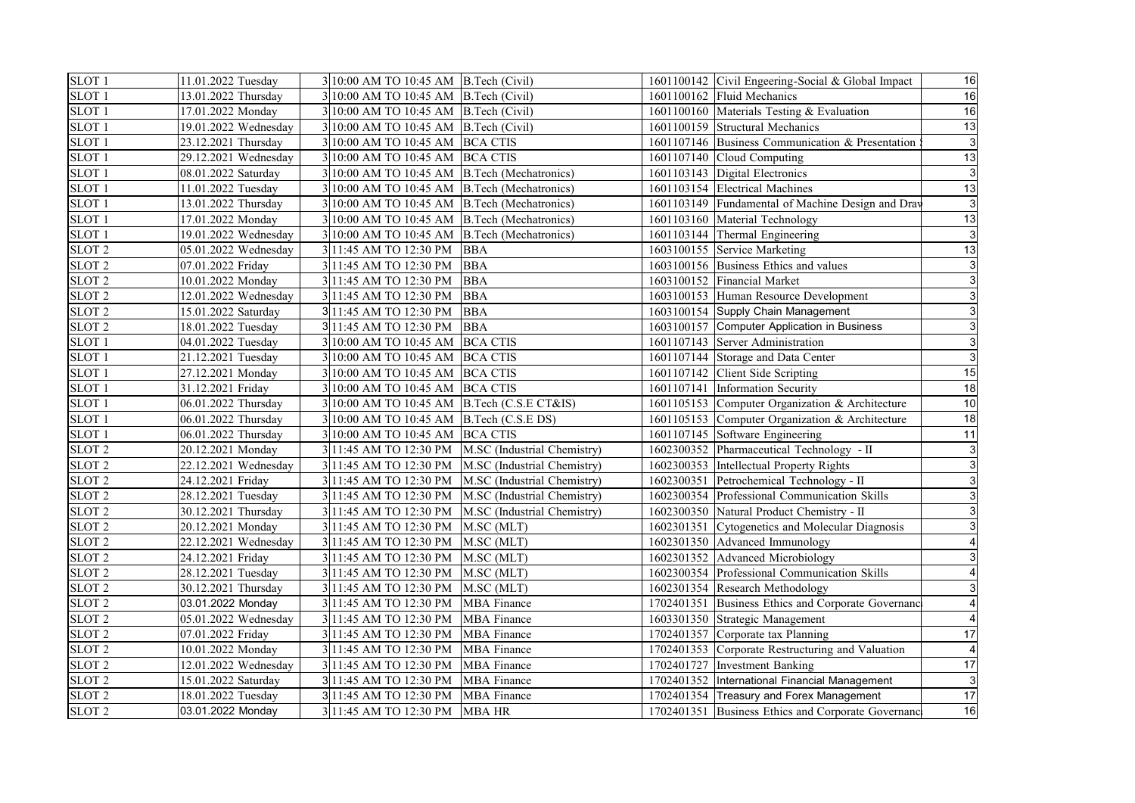| SLOT <sub>1</sub> | 11.01.2022 Tuesday   | 3 10:00 AM TO 10:45 AM B.Tech (Civil)        |                                                      | 1601100142 Civil Engeering-Social & Global Impact  | 16 |
|-------------------|----------------------|----------------------------------------------|------------------------------------------------------|----------------------------------------------------|----|
| SLOT <sub>1</sub> | 13.01.2022 Thursday  | 3 10:00 AM TO 10:45 AM B.Tech (Civil)        |                                                      | 1601100162 Fluid Mechanics                         | 16 |
| SLOT <sub>1</sub> | 17.01.2022 Monday    | 3 10:00 AM TO 10:45 AM B.Tech (Civil)        |                                                      | 1601100160 Materials Testing & Evaluation          | 16 |
| SLOT <sub>1</sub> | 19.01.2022 Wednesday | 3 10:00 AM TO 10:45 AM B.Tech (Civil)        |                                                      | 1601100159 Structural Mechanics                    | 13 |
| SLOT <sub>1</sub> | 23.12.2021 Thursday  | 3 10:00 AM TO 10:45 AM BCA CTIS              |                                                      | 1601107146 Business Communication & Presentation   |    |
| SLOT <sub>1</sub> | 29.12.2021 Wednesday | 3 10:00 AM TO 10:45 AM BCA CTIS              |                                                      | 1601107140 Cloud Computing                         | 13 |
| SLOT <sub>1</sub> | 08.01.2022 Saturday  | 3 10:00 AM TO 10:45 AM B.Tech (Mechatronics) |                                                      | 1601103143 Digital Electronics                     |    |
| SLOT <sub>1</sub> | 11.01.2022 Tuesday   | 3 10:00 AM TO 10:45 AM B.Tech (Mechatronics) |                                                      | 1601103154 Electrical Machines                     | 13 |
| SLOT <sub>1</sub> | 13.01.2022 Thursday  | 3 10:00 AM TO 10:45 AM B.Tech (Mechatronics) |                                                      | 1601103149 Fundamental of Machine Design and Drav  |    |
| SLOT <sub>1</sub> | 17.01.2022 Monday    | 3 10:00 AM TO 10:45 AM B.Tech (Mechatronics) |                                                      | 1601103160 Material Technology                     | 13 |
| SLOT <sub>1</sub> | 19.01.2022 Wednesday | 3 10:00 AM TO 10:45 AM B.Tech (Mechatronics) |                                                      | 1601103144 Thermal Engineering                     |    |
| SLOT <sub>2</sub> | 05.01.2022 Wednesday | 3 11:45 AM TO 12:30 PM                       | <b>BBA</b>                                           | 1603100155 Service Marketing                       | 13 |
| SLOT <sub>2</sub> | 07.01.2022 Friday    | 3 11:45 AM TO 12:30 PM BBA                   |                                                      | 1603100156 Business Ethics and values              |    |
| SLOT <sub>2</sub> | 10.01.2022 Monday    | 3 11:45 AM TO 12:30 PM                       | <b>BBA</b>                                           | 1603100152 Financial Market                        |    |
| SLOT <sub>2</sub> | 12.01.2022 Wednesday | 3 11:45 AM TO 12:30 PM BBA                   |                                                      | 1603100153 Human Resource Development              |    |
| SLOT <sub>2</sub> | 15.01.2022 Saturday  | 3 11:45 AM TO 12:30 PM                       | <b>BBA</b>                                           | 1603100154 Supply Chain Management                 |    |
| SLOT <sub>2</sub> | 18.01.2022 Tuesday   | 3 11:45 AM TO 12:30 PM BBA                   |                                                      | 1603100157 Computer Application in Business        |    |
| SLOT <sub>1</sub> | 04.01.2022 Tuesday   | 3 10:00 AM TO 10:45 AM BCA CTIS              |                                                      | 1601107143 Server Administration                   |    |
| SLOT <sub>1</sub> | 21.12.2021 Tuesday   | 3 10:00 AM TO 10:45 AM BCA CTIS              |                                                      | 1601107144 Storage and Data Center                 |    |
| SLOT <sub>1</sub> | 27.12.2021 Monday    | 3 10:00 AM TO 10:45 AM BCA CTIS              |                                                      | 1601107142 Client Side Scripting                   | 15 |
| SLOT <sub>1</sub> | 31.12.2021 Friday    | 3 10:00 AM TO 10:45 AM BCA CTIS              |                                                      | 1601107141 Information Security                    | 18 |
| SLOT <sub>1</sub> | 06.01.2022 Thursday  | 3 10:00 AM TO 10:45 AM B.Tech (C.S.E CT&IS)  |                                                      | 1601105153 Computer Organization & Architecture    | 10 |
| SLOT <sub>1</sub> | 06.01.2022 Thursday  | 3 10:00 AM TO 10:45 AM B.Tech (C.S.E DS)     |                                                      | 1601105153 Computer Organization & Architecture    | 18 |
| SLOT <sub>1</sub> | 06.01.2022 Thursday  | 3 10:00 AM TO 10:45 AM BCA CTIS              |                                                      | 1601107145 Software Engineering                    | 11 |
| SLOT <sub>2</sub> | 20.12.2021 Monday    |                                              | 3 11:45 AM TO 12:30 PM   M.SC (Industrial Chemistry) | 1602300352 Pharmaceutical Technology - II          |    |
| SLOT <sub>2</sub> | 22.12.2021 Wednesday |                                              | 3 11:45 AM TO 12:30 PM M.SC (Industrial Chemistry)   | 1602300353 Intellectual Property Rights            |    |
| SLOT <sub>2</sub> | 24.12.2021 Friday    |                                              | 3 11:45 AM TO 12:30 PM M.SC (Industrial Chemistry)   | 1602300351 Petrochemical Technology - II           |    |
| SLOT <sub>2</sub> | 28.12.2021 Tuesday   |                                              | 3 11:45 AM TO 12:30 PM M.SC (Industrial Chemistry)   | 1602300354 Professional Communication Skills       |    |
| SLOT <sub>2</sub> | 30.12.2021 Thursday  |                                              | 3 11:45 AM TO 12:30 PM M.SC (Industrial Chemistry)   | 1602300350 Natural Product Chemistry - II          |    |
| SLOT <sub>2</sub> | 20.12.2021 Monday    | 3 11:45 AM TO 12:30 PM M.SC (MLT)            |                                                      | 1602301351 Cytogenetics and Molecular Diagnosis    |    |
| SLOT <sub>2</sub> | 22.12.2021 Wednesday | 3 11:45 AM TO 12:30 PM M.SC (MLT)            |                                                      | 1602301350 Advanced Immunology                     |    |
| SLOT <sub>2</sub> | 24.12.2021 Friday    | 3 11:45 AM TO 12:30 PM M.SC (MLT)            |                                                      | 1602301352 Advanced Microbiology                   |    |
| SLOT <sub>2</sub> | 28.12.2021 Tuesday   | 3 11:45 AM TO 12:30 PM M.SC (MLT)            |                                                      | 1602300354 Professional Communication Skills       |    |
| SLOT <sub>2</sub> | 30.12.2021 Thursday  | 311:45 AM TO 12:30 PM                        | M.SC (MLT)                                           | 1602301354 Research Methodology                    |    |
| SLOT <sub>2</sub> | 03.01.2022 Monday    | 3 11:45 AM TO 12:30 PM                       | <b>MBA</b> Finance                                   | 1702401351 Business Ethics and Corporate Governanc |    |
| SLOT <sub>2</sub> | 05.01.2022 Wednesday | 3 11:45 AM TO 12:30 PM                       | <b>MBA</b> Finance                                   | 1603301350 Strategic Management                    |    |
| SLOT <sub>2</sub> | 07.01.2022 Friday    | 3 11:45 AM TO 12:30 PM MBA Finance           |                                                      | 1702401357 Corporate tax Planning                  | 17 |
| SLOT <sub>2</sub> | 10.01.2022 Monday    | 3 11:45 AM TO 12:30 PM                       | <b>MBA</b> Finance                                   | 1702401353 Corporate Restructuring and Valuation   |    |
| SLOT <sub>2</sub> | 12.01.2022 Wednesday | 3 11:45 AM TO 12:30 PM MBA Finance           |                                                      | 1702401727 Investment Banking                      | 17 |
| SLOT <sub>2</sub> | 15.01.2022 Saturday  | 3 11:45 AM TO 12:30 PM                       | <b>MBA</b> Finance                                   | 1702401352 International Financial Management      |    |
| SLOT <sub>2</sub> | 18.01.2022 Tuesday   | 3 11:45 AM TO 12:30 PM                       | <b>MBA</b> Finance                                   | 1702401354 Treasury and Forex Management           | 17 |
| SLOT <sub>2</sub> | 03.01.2022 Monday    | 3 11:45 AM TO 12:30 PM MBA HR                |                                                      | 1702401351 Business Ethics and Corporate Governanc | 16 |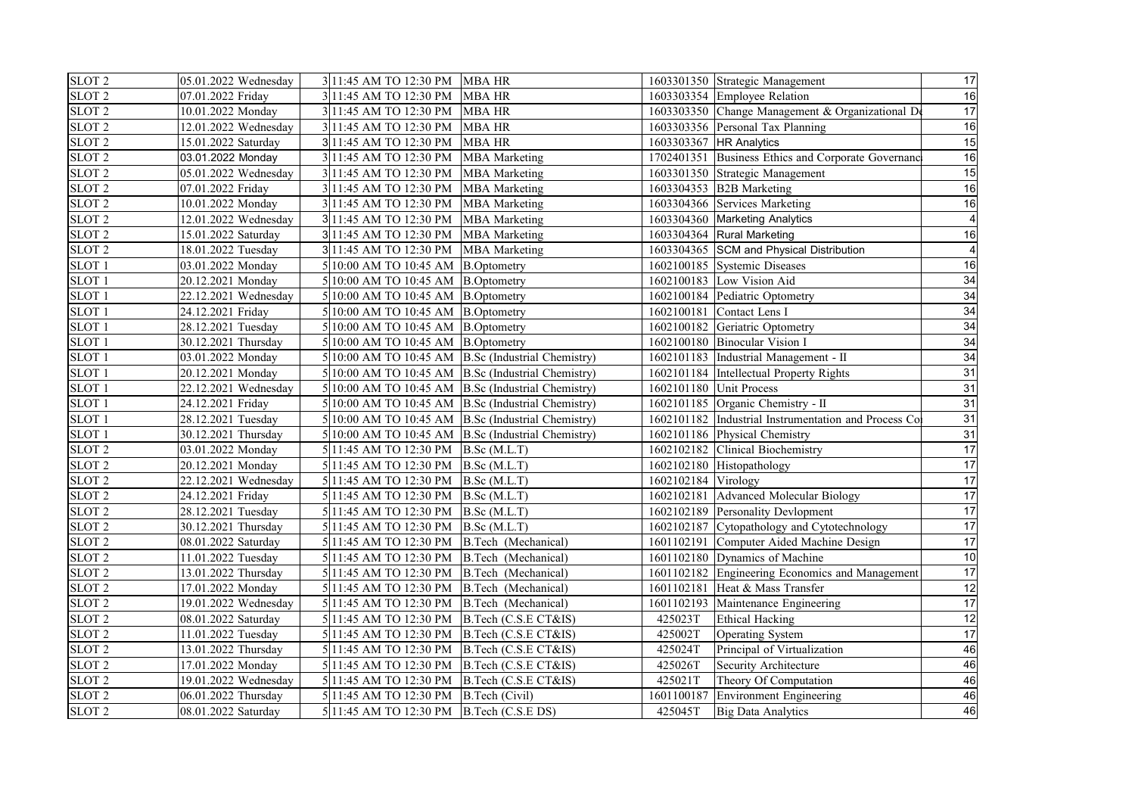| SLOT <sub>2</sub> | 05.01.2022 Wednesday | 3 11:45 AM TO 12:30 PM MBA HR                    |                      |                     | 1603301350 Strategic Management                      | 17              |
|-------------------|----------------------|--------------------------------------------------|----------------------|---------------------|------------------------------------------------------|-----------------|
| SLOT <sub>2</sub> | 07.01.2022 Friday    | 311:45 AM TO 12:30 PM                            | <b>MBA HR</b>        |                     | 1603303354 Employee Relation                         | 16              |
| SLOT <sub>2</sub> | 10.01.2022 Monday    | 3 11:45 AM TO 12:30 PM                           | <b>MBA HR</b>        |                     | 1603303350 Change Management & Organizational De     | 17              |
| SLOT 2            | 12.01.2022 Wednesday | 3 11:45 AM TO 12:30 PM                           | <b>MBA HR</b>        |                     | 1603303356 Personal Tax Planning                     | 16              |
| SLOT <sub>2</sub> | 15.01.2022 Saturday  | 3 11:45 AM TO 12:30 PM                           | <b>MBA HR</b>        |                     | 1603303367 HR Analytics                              | 15              |
| SLOT <sub>2</sub> | 03.01.2022 Monday    | 3 11:45 AM TO 12:30 PM                           | <b>MBA</b> Marketing |                     | 1702401351 Business Ethics and Corporate Governanc   | 16              |
| SLOT <sub>2</sub> | 05.01.2022 Wednesday | 3 11:45 AM TO 12:30 PM                           | <b>MBA</b> Marketing |                     | 1603301350 Strategic Management                      | 15              |
| SLOT <sub>2</sub> | 07.01.2022 Friday    | 3 11:45 AM TO 12:30 PM                           | <b>MBA</b> Marketing |                     | 1603304353 B2B Marketing                             | 16              |
| SLOT <sub>2</sub> | 10.01.2022 Monday    | 3 11:45 AM TO 12:30 PM                           | <b>MBA</b> Marketing |                     | 1603304366 Services Marketing                        | 16              |
| SLOT <sub>2</sub> | 12.01.2022 Wednesday | 3 11:45 AM TO 12:30 PM                           | <b>MBA</b> Marketing |                     | 1603304360 Marketing Analytics                       |                 |
| SLOT <sub>2</sub> | 15.01.2022 Saturday  | 3 11:45 AM TO 12:30 PM                           | <b>MBA</b> Marketing |                     | 1603304364 Rural Marketing                           | 16              |
| SLOT <sub>2</sub> | 18.01.2022 Tuesday   | 3 11:45 AM TO 12:30 PM                           | <b>MBA</b> Marketing |                     | 1603304365 SCM and Physical Distribution             |                 |
| SLOT <sub>1</sub> | 03.01.2022 Monday    | 10:00 AM TO 10:45 AM B.Optometry                 |                      |                     | 1602100185 Systemic Diseases                         | 16              |
| SLOT <sub>1</sub> | 20.12.2021 Monday    | 10:00 AM TO 10:45 AM B.Optometry                 |                      |                     | 1602100183 Low Vision Aid                            | 34              |
| SLOT <sub>1</sub> | 22.12.2021 Wednesday | 10:00 AM TO 10:45 AM B.Optometry                 |                      |                     | 1602100184 Pediatric Optometry                       | 34              |
| SLOT <sub>1</sub> | 24.12.2021 Friday    | 10:00 AM TO 10:45 AM B.Optometry                 |                      |                     | 1602100181 Contact Lens I                            | 34              |
| SLOT <sub>1</sub> | 28.12.2021 Tuesday   | 10:00 AM TO 10:45 AM B.Optometry                 |                      |                     | 1602100182 Geriatric Optometry                       | 34              |
| SLOT <sub>1</sub> | 30.12.2021 Thursday  | 10:00 AM TO 10:45 AM B.Optometry                 |                      |                     | 1602100180 Binocular Vision I                        | 34              |
| SLOT <sub>1</sub> | 03.01.2022 Monday    | 10:00 AM TO 10:45 AM B.Sc (Industrial Chemistry) |                      |                     | 1602101183 Industrial Management - II                | 34              |
| SLOT <sub>1</sub> | 20.12.2021 Monday    | 10:00 AM TO 10:45 AM B.Sc (Industrial Chemistry) |                      |                     | 1602101184 Intellectual Property Rights              | 31              |
| SLOT <sub>1</sub> | 22.12.2021 Wednesday | 10:00 AM TO 10:45 AM B.Sc (Industrial Chemistry) |                      |                     | 1602101180 Unit Process                              | 31              |
| SLOT <sub>1</sub> | 24.12.2021 Friday    | 10:00 AM TO 10:45 AM B.Sc (Industrial Chemistry) |                      |                     | 1602101185 Organic Chemistry - II                    | 31              |
| SLOT <sub>1</sub> | 28.12.2021 Tuesday   | 10:00 AM TO 10:45 AM B.Sc (Industrial Chemistry) |                      |                     | 1602101182 Industrial Instrumentation and Process Co | 31              |
| SLOT <sub>1</sub> | 30.12.2021 Thursday  | 10:00 AM TO 10:45 AM B.Sc (Industrial Chemistry) |                      |                     | 1602101186 Physical Chemistry                        | 31              |
| SLOT <sub>2</sub> | 03.01.2022 Monday    | 5 11:45 AM TO 12:30 PM B.Sc (M.L.T)              |                      |                     | 1602102182 Clinical Biochemistry                     | 17              |
| SLOT <sub>2</sub> | 20.12.2021 Monday    | 5 11:45 AM TO 12:30 PM B.Sc (M.L.T)              |                      |                     | 1602102180 Histopathology                            | 17              |
| SLOT <sub>2</sub> | 22.12.2021 Wednesday | 5 11:45 AM TO 12:30 PM B.Sc (M.L.T)              |                      | 1602102184 Virology |                                                      | 17              |
| SLOT <sub>2</sub> | 24.12.2021 Friday    | 5 11:45 AM TO 12:30 PM B.Sc (M.L.T)              |                      |                     | 1602102181 Advanced Molecular Biology                | 17              |
| SLOT <sub>2</sub> | 28.12.2021 Tuesday   | 5 11:45 AM TO 12:30 PM B.Sc (M.L.T)              |                      |                     | 1602102189 Personality Devlopment                    | 17              |
| SLOT <sub>2</sub> | 30.12.2021 Thursday  | 5 11:45 AM TO 12:30 PM B.Sc (M.L.T)              |                      |                     | 1602102187 Cytopathology and Cytotechnology          | 17              |
| SLOT <sub>2</sub> | 08.01.2022 Saturday  | 5 11:45 AM TO 12:30 PM                           | B.Tech (Mechanical)  |                     | 1601102191 Computer Aided Machine Design             | 17              |
| SLOT <sub>2</sub> | 11.01.2022 Tuesday   | 5 11:45 AM TO 12:30 PM                           | B.Tech (Mechanical)  |                     | 1601102180 Dynamics of Machine                       | 10              |
| SLOT <sub>2</sub> | 13.01.2022 Thursday  | 5 11:45 AM TO 12:30 PM B.Tech (Mechanical)       |                      |                     | 1601102182 Engineering Economics and Management      | $\overline{17}$ |
| SLOT <sub>2</sub> | 17.01.2022 Monday    | 5 11:45 AM TO 12:30 PM                           | B.Tech (Mechanical)  |                     | 1601102181 Heat & Mass Transfer                      | 12              |
| SLOT <sub>2</sub> | 19.01.2022 Wednesday | 5 11:45 AM TO 12:30 PM                           | B.Tech (Mechanical)  |                     | 1601102193 Maintenance Engineering                   | 17              |
| SLOT <sub>2</sub> | 08.01.2022 Saturday  | 5 11:45 AM TO 12:30 PM B.Tech (C.S.E CT&IS)      |                      | 425023T             | <b>Ethical Hacking</b>                               | 12              |
| SLOT <sub>2</sub> | 11.01.2022 Tuesday   | 5 11:45 AM TO 12:30 PM B.Tech (C.S.E CT&IS)      |                      | 425002T             | Operating System                                     | 17              |
| SLOT <sub>2</sub> | 13.01.2022 Thursday  | 5 11:45 AM TO 12:30 PM B.Tech (C.S.E CT&IS)      |                      | 425024T             | Principal of Virtualization                          | 46              |
| SLOT <sub>2</sub> | 17.01.2022 Monday    | 5 11:45 AM TO 12:30 PM B.Tech (C.S.E CT&IS)      |                      | 425026T             | Security Architecture                                | 46              |
| SLOT <sub>2</sub> | 19.01.2022 Wednesday | 5 11:45 AM TO 12:30 PM                           | B.Tech (C.S.E CT&IS) | 425021T             | Theory Of Computation                                | 46              |
| SLOT <sub>2</sub> | 06.01.2022 Thursday  | 5 11:45 AM TO 12:30 PM B. Tech (Civil)           |                      |                     | 1601100187 Environment Engineering                   | 46              |
| SLOT <sub>2</sub> | 08.01.2022 Saturday  | 5 11:45 AM TO 12:30 PM B.Tech (C.S.E DS)         |                      | 425045T             | <b>Big Data Analytics</b>                            | 46              |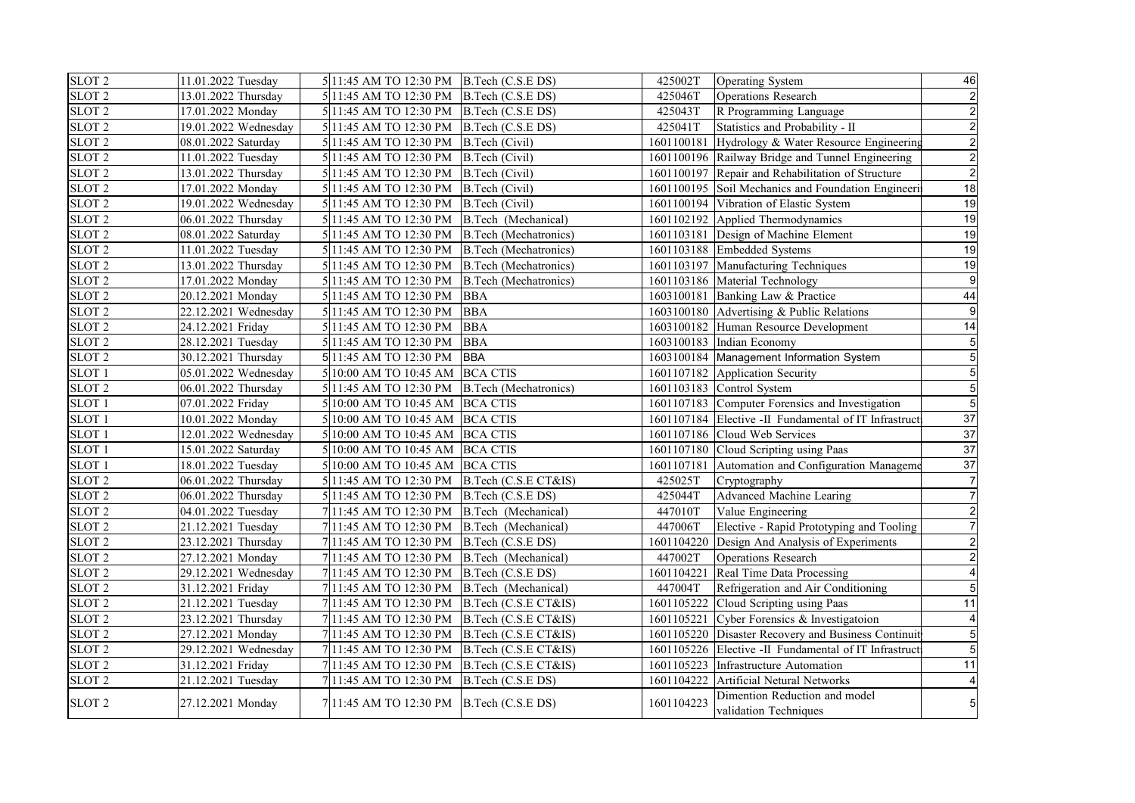| SLOT <sub>2</sub> | 11.01.2022 Tuesday   | 5 11:45 AM TO 12:30 PM B.Tech (C.S.E DS)      |                       | 425002T    | Operating System                                       | 46 |
|-------------------|----------------------|-----------------------------------------------|-----------------------|------------|--------------------------------------------------------|----|
| SLOT <sub>2</sub> | 13.01.2022 Thursday  | 5 11:45 AM TO 12:30 PM B.Tech (C.S.E DS)      |                       | 425046T    | Operations Research                                    |    |
| SLOT <sub>2</sub> | 17.01.2022 Monday    | 5 11:45 AM TO 12:30 PM B.Tech (C.S.E DS)      |                       | 425043T    | R Programming Language                                 |    |
| SLOT <sub>2</sub> | 19.01.2022 Wednesday | 5 11:45 AM TO 12:30 PM B.Tech (C.S.E DS)      |                       | 425041T    | Statistics and Probability - II                        |    |
| SLOT <sub>2</sub> | 08.01.2022 Saturday  | 5 11:45 AM TO 12:30 PM B. Tech (Civil)        |                       |            | 1601100181 Hydrology & Water Resource Engineering      |    |
| SLOT <sub>2</sub> | 11.01.2022 Tuesday   | 5 11:45 AM TO 12:30 PM   B.Tech (Civil)       |                       |            | 1601100196 Railway Bridge and Tunnel Engineering       |    |
| SLOT <sub>2</sub> | 13.01.2022 Thursday  | 5 11:45 AM TO 12:30 PM B.Tech (Civil)         |                       |            | 1601100197 Repair and Rehabilitation of Structure      |    |
| SLOT <sub>2</sub> | 17.01.2022 Monday    | 5 11:45 AM TO 12:30 PM B.Tech (Civil)         |                       |            | 1601100195 Soil Mechanics and Foundation Engineeri     | 18 |
| SLOT <sub>2</sub> | 19.01.2022 Wednesday | 5 11:45 AM TO 12:30 PM B.Tech (Civil)         |                       |            | 1601100194 Vibration of Elastic System                 | 19 |
| SLOT <sub>2</sub> | 06.01.2022 Thursday  | 5 11:45 AM TO 12:30 PM B.Tech (Mechanical)    |                       |            | 1601102192 Applied Thermodynamics                      | 19 |
| SLOT <sub>2</sub> | 08.01.2022 Saturday  | 5 11:45 AM TO 12:30 PM B.Tech (Mechatronics)  |                       |            | 1601103181 Design of Machine Element                   | 19 |
| SLOT <sub>2</sub> | 11.01.2022 Tuesday   | 5 11:45 AM TO 12:30 PM B.Tech (Mechatronics)  |                       |            | 1601103188 Embedded Systems                            | 19 |
| SLOT <sub>2</sub> | 13.01.2022 Thursday  | 5 11:45 AM TO 12:30 PM B.Tech (Mechatronics)  |                       |            | 1601103197 Manufacturing Techniques                    | 19 |
| SLOT <sub>2</sub> | 17.01.2022 Monday    | 5 11:45 AM TO 12:30 PM                        | B.Tech (Mechatronics) |            | 1601103186 Material Technology                         |    |
| SLOT <sub>2</sub> | 20.12.2021 Monday    | 5 11:45 AM TO 12:30 PM                        | <b>BBA</b>            |            | 1603100181 Banking Law & Practice                      | 44 |
| SLOT <sub>2</sub> | 22.12.2021 Wednesday | 5 11:45 AM TO 12:30 PM                        | <b>BBA</b>            |            | 1603100180 Advertising & Public Relations              |    |
| SLOT <sub>2</sub> | 24.12.2021 Friday    | 5 11:45 AM TO 12:30 PM                        | <b>BBA</b>            |            | 1603100182 Human Resource Development                  | 14 |
| SLOT <sub>2</sub> | 28.12.2021 Tuesday   | 5 11:45 AM TO 12:30 PM                        | <b>BBA</b>            |            | 1603100183 Indian Economy                              |    |
| SLOT <sub>2</sub> | 30.12.2021 Thursday  | 5 11:45 AM TO 12:30 PM                        | <b>BBA</b>            |            | 1603100184 Management Information System               |    |
| SLOT <sub>1</sub> | 05.01.2022 Wednesday | 5 10:00 AM TO 10:45 AM BCA CTIS               |                       |            | 1601107182 Application Security                        |    |
| SLOT <sub>2</sub> | 06.01.2022 Thursday  | 5 11:45 AM TO 12:30 PM B.Tech (Mechatronics)  |                       |            | 1601103183 Control System                              |    |
| SLOT <sub>1</sub> | 07.01.2022 Friday    | 5 10:00 AM TO 10:45 AM BCA CTIS               |                       |            | 1601107183 Computer Forensics and Investigation        |    |
| SLOT <sub>1</sub> | 10.01.2022 Monday    | 5 10:00 AM TO 10:45 AM BCA CTIS               |                       |            | 1601107184 Elective -II Fundamental of IT Infrastruct  | 37 |
| SLOT <sub>1</sub> | 12.01.2022 Wednesday | 5 10:00 AM TO 10:45 AM BCA CTIS               |                       |            | 1601107186 Cloud Web Services                          | 37 |
| SLOT <sub>1</sub> | 15.01.2022 Saturday  | 5 10:00 AM TO 10:45 AM BCA CTIS               |                       |            | 1601107180 Cloud Scripting using Paas                  | 37 |
| SLOT <sub>1</sub> | 18.01.2022 Tuesday   | 5 10:00 AM TO 10:45 AM BCA CTIS               |                       |            | 1601107181 Automation and Configuration Manageme       | 37 |
| SLOT <sub>2</sub> | 06.01.2022 Thursday  | 5 11:45 AM TO 12:30 PM B.Tech (C.S.E CT&IS)   |                       | 425025T    | Cryptography                                           |    |
| SLOT <sub>2</sub> | 06.01.2022 Thursday  | 5 11:45 AM TO 12:30 PM B.Tech (C.S.E DS)      |                       | 425044T    | Advanced Machine Learing                               |    |
| SLOT <sub>2</sub> | 04.01.2022 Tuesday   | 7 11:45 AM TO 12:30 PM B.Tech (Mechanical)    |                       | 447010T    | Value Engineering                                      |    |
| SLOT <sub>2</sub> | 21.12.2021 Tuesday   | 7 11:45 AM TO 12:30 PM B.Tech (Mechanical)    |                       | 447006T    | Elective - Rapid Prototyping and Tooling               |    |
| SLOT <sub>2</sub> | 23.12.2021 Thursday  | 7 11:45 AM TO 12:30 PM                        | B.Tech (C.S.E DS)     |            | 1601104220 Design And Analysis of Experiments          |    |
| SLOT <sub>2</sub> | 27.12.2021 Monday    | $7 11:45$ AM TO 12:30 PM B. Tech (Mechanical) |                       | 447002T    | <b>Operations Research</b>                             |    |
| SLOT <sub>2</sub> | 29.12.2021 Wednesday | 7 11:45 AM TO 12:30 PM B.Tech (C.S.E DS)      |                       | 1601104221 | Real Time Data Processing                              |    |
| SLOT <sub>2</sub> | 31.12.2021 Friday    | 7 11:45 AM TO 12:30 PM B.Tech (Mechanical)    |                       | 447004T    | Refrigeration and Air Conditioning                     |    |
| SLOT <sub>2</sub> | 21.12.2021 Tuesday   | 7 11:45 AM TO 12:30 PM B.Tech (C.S.E CT&IS)   |                       |            | 1601105222 Cloud Scripting using Paas                  | 11 |
| SLOT <sub>2</sub> | 23.12.2021 Thursday  | 7 11:45 AM TO 12:30 PM B.Tech (C.S.E CT&IS)   |                       | 1601105221 | Cyber Forensics & Investigatoion                       |    |
| SLOT <sub>2</sub> | 27.12.2021 Monday    | 7 11:45 AM TO 12:30 PM                        | B.Tech (C.S.E CT&IS)  |            | 1601105220 Disaster Recovery and Business Continuit    |    |
| SLOT <sub>2</sub> | 29.12.2021 Wednesday | 7 11:45 AM TO 12:30 PM B.Tech (C.S.E CT&IS)   |                       |            | 1601105226 Elective -II Fundamental of IT Infrastruct  |    |
| SLOT <sub>2</sub> | 31.12.2021 Friday    | 7 11:45 AM TO 12:30 PM B.Tech (C.S.E CT&IS)   |                       |            | 1601105223 Infrastructure Automation                   | 11 |
| SLOT <sub>2</sub> | 21.12.2021 Tuesday   | 7 11:45 AM TO 12:30 PM B.Tech (C.S.E DS)      |                       |            | 1601104222 Artificial Netural Networks                 |    |
| SLOT <sub>2</sub> | 27.12.2021 Monday    | 7 11:45 AM TO 12:30 PM B.Tech (C.S.E DS)      |                       | 1601104223 | Dimention Reduction and model<br>validation Techniques |    |